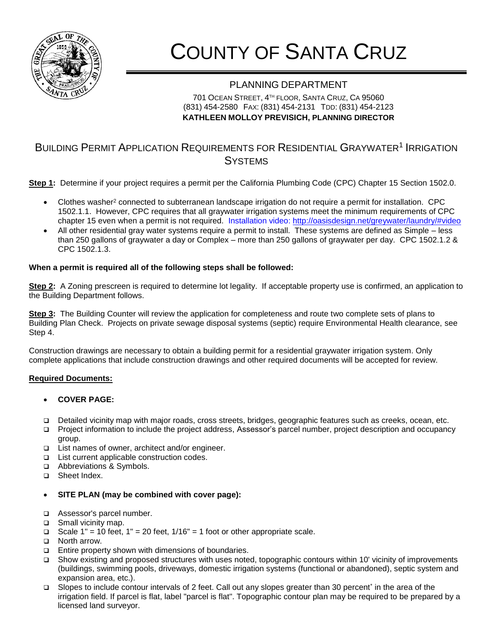

# COUNTY OF SANTA CRUZ

## PLANNING DEPARTMENT

701 OCEAN STREET, 4 TH FLOOR, SANTA CRUZ, CA 95060 (831) 454-2580 FAX: (831) 454-2131 TDD: (831) 454-2123 **KATHLEEN MOLLOY PREVISICH, PLANNING DIRECTOR**

### BUILDING PERMIT APPLICATION REQUIREMENTS FOR RESIDENTIAL GRAYWATER<sup>1</sup> IRRIGATION **SYSTEMS**

**Step 1:** Determine if your project requires a permit per the California Plumbing Code (CPC) Chapter 15 Section 1502.0.

- Clothes washer<sup>2</sup> connected to subterranean landscape irrigation do not require a permit for installation. CPC 1502.1.1. However, CPC requires that all graywater irrigation systems meet the minimum requirements of CPC chapter 15 even when a permit is not required. Installation video:<http://oasisdesign.net/greywater/laundry/#video>
- All other residential gray water systems require a permit to install. These systems are defined as Simple less than 250 gallons of graywater a day or Complex – more than 250 gallons of graywater per day. CPC 1502.1.2 & CPC 1502.1.3.

#### **When a permit is required all of the following steps shall be followed:**

**Step 2:** A Zoning prescreen is required to determine lot legality. If acceptable property use is confirmed, an application to the Building Department follows.

**Step 3:** The Building Counter will review the application for completeness and route two complete sets of plans to Building Plan Check. Projects on private sewage disposal systems (septic) require Environmental Health clearance, see Step 4.

Construction drawings are necessary to obtain a building permit for a residential graywater irrigation system. Only complete applications that include construction drawings and other required documents will be accepted for review.

#### **Required Documents:**

#### **COVER PAGE:**

- Detailed vicinity map with major roads, cross streets, bridges, geographic features such as creeks, ocean, etc.
- Project information to include the project address, Assessor's parcel number, project description and occupancy group.
- □ List names of owner, architect and/or engineer.
- □ List current applicable construction codes.
- Abbreviations & Symbols.
- □ Sheet Index.
- **SITE PLAN (may be combined with cover page):**
- Assessor's parcel number.
- □ Small vicinity map.
- Scale 1" = 10 feet, 1" = 20 feet,  $1/16$ " = 1 foot or other appropriate scale.
- □ North arrow.
- $\Box$  Entire property shown with dimensions of boundaries.
- Show existing and proposed structures with uses noted, topographic contours within 10' vicinity of improvements (buildings, swimming pools, driveways, domestic irrigation systems (functional or abandoned), septic system and expansion area, etc.).
- **□** Slopes to include contour intervals of 2 feet. Call out any slopes greater than 30 percent<sup>\*</sup> in the area of the irrigation field. If parcel is flat, label "parcel is flat". Topographic contour plan may be required to be prepared by a licensed land surveyor.